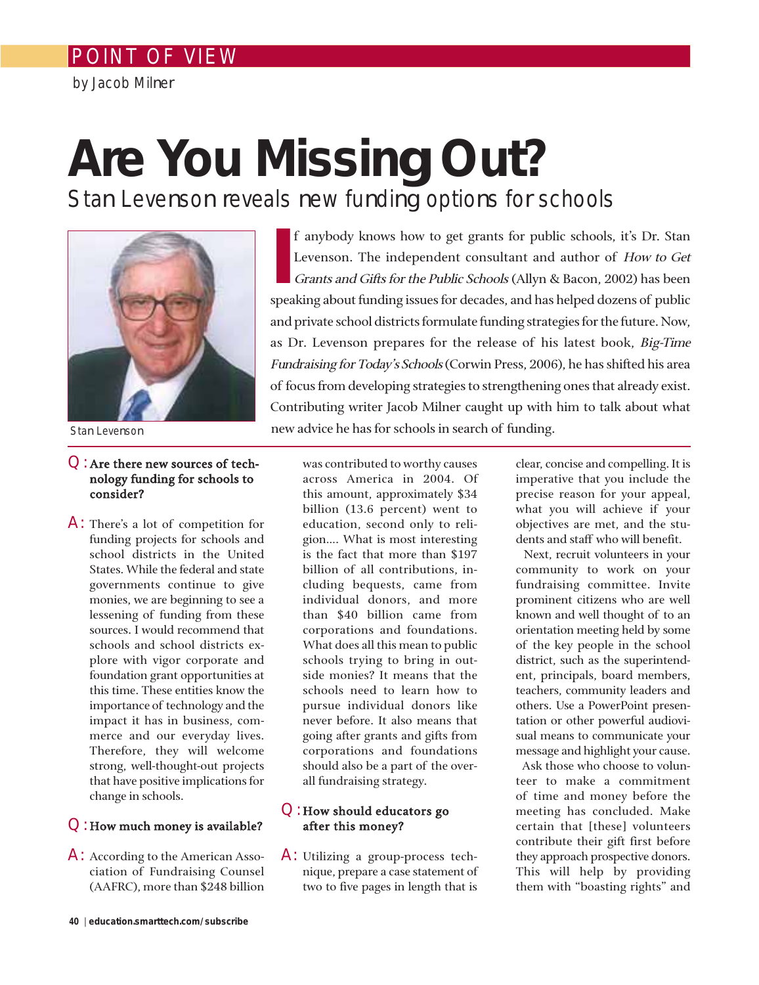# POINT OF VIEW

by Jacob Milner

# **Are You Missing Out?**

Stan Levenson reveals new funding options for schools



Stan Levenson

# Q:Are there new sources of technology funding for schools to consider?

A: There's a lot of competition for funding projects for schools and school districts in the United States. While the federal and state governments continue to give monies, we are beginning to see a lessening of funding from these sources. I would recommend that schools and school districts explore with vigor corporate and foundation grant opportunities at this time. These entities know the importance of technology and the impact it has in business, commerce and our everyday lives. Therefore, they will welcome strong, well-thought-out projects that have positive implications for change in schools.

## Q:How much money is available?

A: According to the American Association of Fundraising Counsel (AAFRC), more than \$248 billion

**I** f anybody knows how to get grants for public schools, it's Dr. Stan Levenson. The independent consultant and author of How to Get Grants and Gifts for the Public Schools (Allyn & Bacon, 2002) has been speaking about funding issues for decades, and has helped dozens of public and private school districts formulate funding strategies for the future. Now, as Dr. Levenson prepares for the release of his latest book, Big-Time Fundraising for Today's Schools (Corwin Press, 2006), he has shifted his area of focus from developing strategies to strengthening ones that already exist. Contributing writer Jacob Milner caught up with him to talk about what new advice he has for schools in search of funding.

was contributed to worthy causes across America in 2004. Of this amount, approximately \$34 billion (13.6 percent) went to education, second only to religion…. What is most interesting is the fact that more than \$197 billion of all contributions, including bequests, came from individual donors, and more than \$40 billion came from corporations and foundations. What does all this mean to public schools trying to bring in outside monies? It means that the schools need to learn how to pursue individual donors like never before. It also means that going after grants and gifts from corporations and foundations should also be a part of the overall fundraising strategy.

# $Q:$  How should educators go after this money?

A: Utilizing a group-process technique, prepare a case statement of two to five pages in length that is

clear, concise and compelling. It is imperative that you include the precise reason for your appeal, what you will achieve if your objectives are met, and the students and staff who will benefit.

Next, recruit volunteers in your community to work on your fundraising committee. Invite prominent citizens who are well known and well thought of to an orientation meeting held by some of the key people in the school district, such as the superintendent, principals, board members, teachers, community leaders and others. Use a PowerPoint presentation or other powerful audiovisual means to communicate your message and highlight your cause.

Ask those who choose to volunteer to make a commitment of time and money before the meeting has concluded. Make certain that [these] volunteers contribute their gift first before they approach prospective donors. This will help by providing them with "boasting rights" and